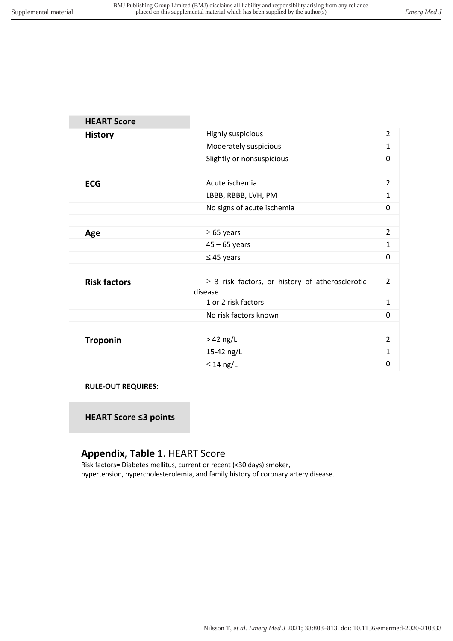| <b>HEART Score</b>        |                                                                 |                |
|---------------------------|-----------------------------------------------------------------|----------------|
| <b>History</b>            | Highly suspicious                                               | $\overline{2}$ |
|                           | Moderately suspicious                                           | $\mathbf{1}$   |
|                           | Slightly or nonsuspicious                                       | 0              |
|                           |                                                                 |                |
| <b>ECG</b>                | Acute ischemia                                                  | $\overline{2}$ |
|                           | LBBB, RBBB, LVH, PM                                             | $\mathbf{1}$   |
|                           | No signs of acute ischemia                                      | $\Omega$       |
|                           |                                                                 |                |
| Age                       | $\geq 65$ years                                                 | $\overline{2}$ |
|                           | $45 - 65$ years                                                 | $\mathbf{1}$   |
|                           | $\leq$ 45 years                                                 | 0              |
|                           |                                                                 |                |
| <b>Risk factors</b>       | $\geq$ 3 risk factors, or history of atherosclerotic<br>disease | $\overline{2}$ |
|                           | 1 or 2 risk factors                                             | 1              |
|                           | No risk factors known                                           | $\Omega$       |
|                           |                                                                 |                |
| <b>Troponin</b>           | $>42$ ng/L                                                      | $\overline{2}$ |
|                           | 15-42 ng/L                                                      | $\mathbf{1}$   |
|                           | $\leq$ 14 ng/L                                                  | 0              |
| <b>RULE-OUT REQUIRES:</b> |                                                                 |                |

**HEART Score ≤3 points**

## **Appendix, Table 1.** HEART Score

Risk factors= Diabetes mellitus, current or recent (<30 days) smoker, hypertension, hypercholesterolemia, and family history of coronary artery disease.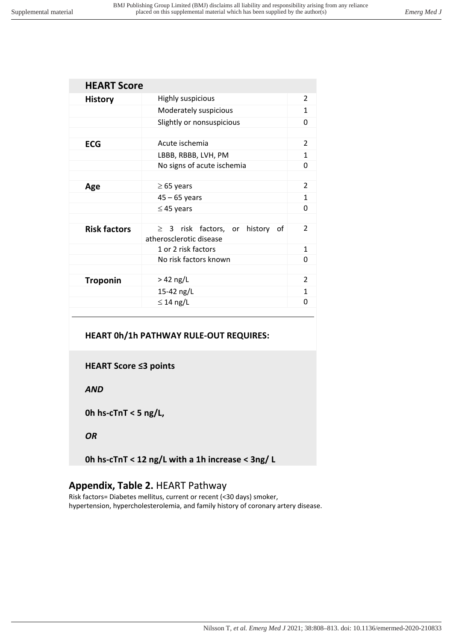| <b>HEART Score</b>  |                                                                    |                |  |
|---------------------|--------------------------------------------------------------------|----------------|--|
| <b>History</b>      | Highly suspicious                                                  |                |  |
|                     | Moderately suspicious                                              |                |  |
|                     | Slightly or nonsuspicious                                          |                |  |
|                     |                                                                    |                |  |
| <b>ECG</b>          | Acute ischemia                                                     |                |  |
|                     | LBBB, RBBB, LVH, PM                                                |                |  |
|                     | No signs of acute ischemia                                         | O              |  |
|                     |                                                                    |                |  |
| Age                 | $\geq$ 65 years                                                    | $\mathcal{P}$  |  |
|                     | $45 - 65$ years                                                    | 1              |  |
|                     | $\leq$ 45 years                                                    | O              |  |
|                     |                                                                    |                |  |
| <b>Risk factors</b> | $\geq$ 3 risk factors, or history<br>οf<br>atherosclerotic disease | $\mathfrak{p}$ |  |
|                     | 1 or 2 risk factors                                                | 1              |  |
|                     | No risk factors known                                              | O              |  |
|                     |                                                                    |                |  |
| <b>Troponin</b>     | $>$ 42 ng/L                                                        | $\overline{2}$ |  |
|                     | 15-42 ng/L                                                         | 1              |  |
|                     | $\leq$ 14 ng/L                                                     | n              |  |
|                     |                                                                    |                |  |

#### **HEART 0h/1h PATHWAY RULE-OUT REQUIRES:**

**HEART Score ≤3 points**

*AND*

**0h hs-cTnT < 5 ng/L,** 

#### *OR*

**0h hs-cTnT < 12 ng/L with a 1h increase < 3ng/ L**

### **Appendix, Table 2.** HEART Pathway

Risk factors= Diabetes mellitus, current or recent (<30 days) smoker, hypertension, hypercholesterolemia, and family history of coronary artery disease.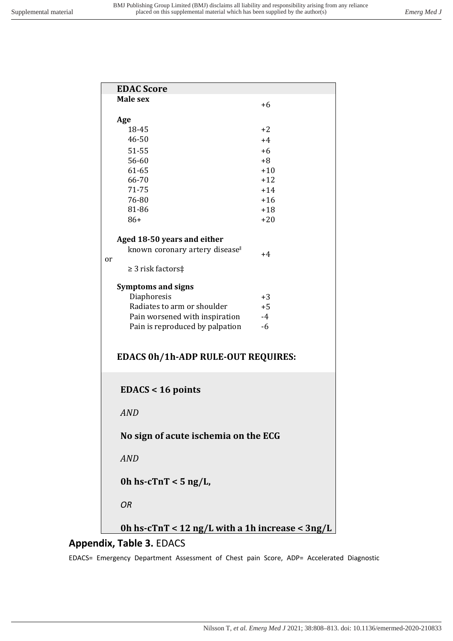|    | <b>EDAC Score</b>                               |       |  |
|----|-------------------------------------------------|-------|--|
|    | Male sex                                        | $+6$  |  |
|    |                                                 |       |  |
|    | Age                                             |       |  |
|    | 18-45                                           | $+2$  |  |
|    | 46-50                                           | $+4$  |  |
|    | 51-55                                           | $+6$  |  |
|    | 56-60                                           | $+8$  |  |
|    | 61-65                                           | $+10$ |  |
|    | 66-70                                           | $+12$ |  |
|    | 71-75                                           | $+14$ |  |
|    | 76-80                                           | $+16$ |  |
|    | 81-86                                           | $+18$ |  |
|    | $86+$                                           | $+20$ |  |
|    |                                                 |       |  |
|    | Aged 18-50 years and either                     |       |  |
|    | known coronary artery disease <sup>®</sup>      | $+4$  |  |
| or | $\geq$ 3 risk factors‡                          |       |  |
|    |                                                 |       |  |
|    | <b>Symptoms and signs</b>                       |       |  |
|    | Diaphoresis                                     | $+3$  |  |
|    | Radiates to arm or shoulder                     | $+5$  |  |
|    | Pain worsened with inspiration                  | $-4$  |  |
|    | Pain is reproduced by palpation                 | $-6$  |  |
|    |                                                 |       |  |
|    |                                                 |       |  |
|    | <b>EDACS 0h/1h-ADP RULE-OUT REQUIRES:</b>       |       |  |
|    |                                                 |       |  |
|    |                                                 |       |  |
|    | $EDACS < 16$ points                             |       |  |
|    |                                                 |       |  |
|    | <b>AND</b>                                      |       |  |
|    |                                                 |       |  |
|    | No sign of acute ischemia on the ECG            |       |  |
|    |                                                 |       |  |
|    |                                                 |       |  |
|    | <b>AND</b>                                      |       |  |
|    |                                                 |       |  |
|    | Oh hs-c $TnT < 5$ ng/L,                         |       |  |
|    |                                                 |       |  |
|    | <b>OR</b>                                       |       |  |
|    |                                                 |       |  |
|    | Oh hs-cTnT < 12 ng/L with a 1h increase < 3ng/L |       |  |
|    |                                                 |       |  |

#### **Appendix, Table 3.** EDACS

EDACS= Emergency Department Assessment of Chest pain Score, ADP= Accelerated Diagnostic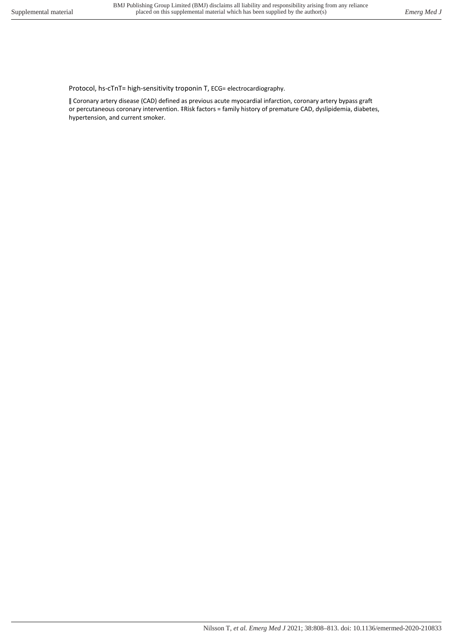Protocol, hs-cTnT= high-sensitivity troponin T, ECG= electrocardiography.

ǁ Coronary artery disease (CAD) defined as previous acute myocardial infarction, coronary artery bypass graft or percutaneous coronary intervention. ‡Risk factors = family history of premature CAD, dyslipidemia, diabetes, hypertension, and current smoker.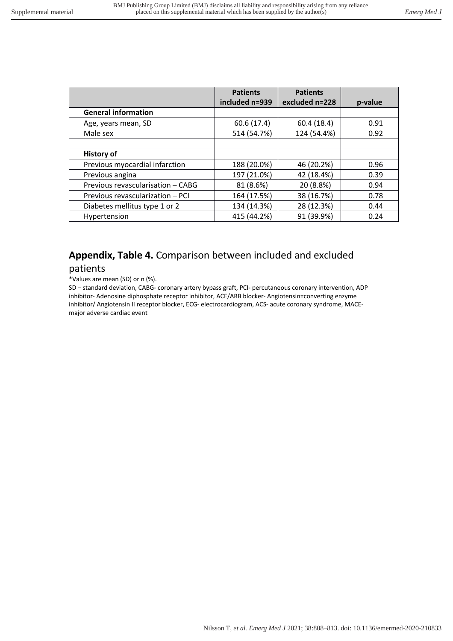|                                   | <b>Patients</b> | <b>Patients</b> |         |
|-----------------------------------|-----------------|-----------------|---------|
|                                   | included n=939  | excluded n=228  | p-value |
| <b>General information</b>        |                 |                 |         |
| Age, years mean, SD               | 60.6 (17.4)     | 60.4(18.4)      | 0.91    |
| Male sex                          | 514 (54.7%)     | 124 (54.4%)     | 0.92    |
|                                   |                 |                 |         |
| <b>History of</b>                 |                 |                 |         |
| Previous myocardial infarction    | 188 (20.0%)     | 46 (20.2%)      | 0.96    |
| Previous angina                   | 197 (21.0%)     | 42 (18.4%)      | 0.39    |
| Previous revascularisation - CABG | 81 (8.6%)       | 20 (8.8%)       | 0.94    |
| Previous revascularization - PCI  | 164 (17.5%)     | 38 (16.7%)      | 0.78    |
| Diabetes mellitus type 1 or 2     | 134 (14.3%)     | 28 (12.3%)      | 0.44    |
| Hypertension                      | 415 (44.2%)     | 91 (39.9%)      | 0.24    |

# **Appendix, Table 4.** Comparison between included and excluded

#### patients

\*Values are mean (SD) or n (%).

SD – standard deviation, CABG- coronary artery bypass graft, PCI- percutaneous coronary intervention, ADP inhibitor- Adenosine diphosphate receptor inhibitor, ACE/ARB blocker- Angiotensin=converting enzyme inhibitor/ Angiotensin II receptor blocker, ECG- electrocardiogram, ACS- acute coronary syndrome, MACEmajor adverse cardiac event